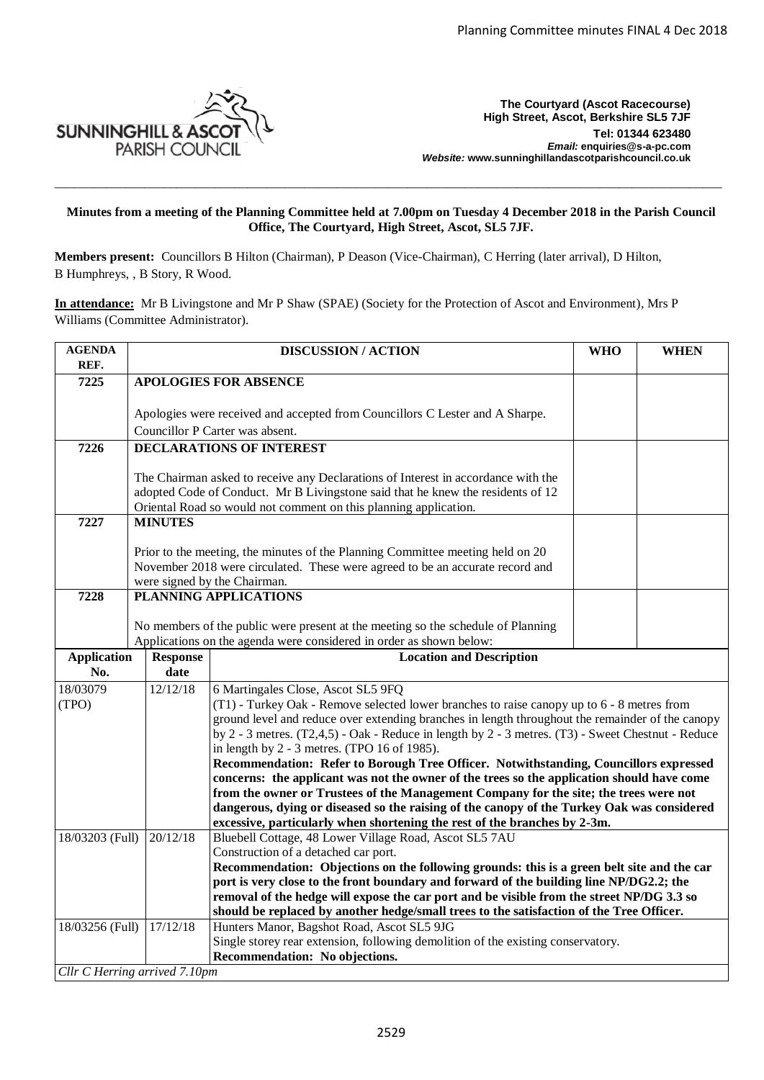

**The Courtyard (Ascot Racecourse) High Street, Ascot, Berkshire SL5 7JF Tel: 01344 623480**  *Email:* **enquiries@s-a-pc.com** *Website:* **www.sunninghillandascotparishcouncil.co.uk**

## **Minutes from a meeting of the Planning Committee held at 7.00pm on Tuesday 4 December 2018 in the Parish Council Office, The Courtyard, High Street, Ascot, SL5 7JF.**

\_\_\_\_\_\_\_\_\_\_\_\_\_\_\_\_\_\_\_\_\_\_\_\_\_\_\_\_\_\_\_\_\_\_\_\_\_\_\_\_\_\_\_\_\_\_\_\_\_\_\_\_\_\_\_\_\_\_\_\_\_\_\_\_\_\_\_\_\_\_\_\_\_\_\_\_\_\_\_\_\_\_\_\_\_\_\_\_\_\_\_\_\_\_\_\_\_\_\_\_\_\_\_\_

**Members present:** Councillors B Hilton (Chairman), P Deason (Vice-Chairman), C Herring (later arrival), D Hilton, B Humphreys, , B Story, R Wood.

**In attendance:** Mr B Livingstone and Mr P Shaw (SPAE) (Society for the Protection of Ascot and Environment), Mrs P Williams (Committee Administrator).

| <b>AGENDA</b><br>REF.                 |                                                                                                                                                                      | <b>DISCUSSION / ACTION</b>                                                                                                                                                                      | <b>WHO</b>                                                                               | <b>WHEN</b> |  |  |  |
|---------------------------------------|----------------------------------------------------------------------------------------------------------------------------------------------------------------------|-------------------------------------------------------------------------------------------------------------------------------------------------------------------------------------------------|------------------------------------------------------------------------------------------|-------------|--|--|--|
| 7225                                  | <b>APOLOGIES FOR ABSENCE</b>                                                                                                                                         |                                                                                                                                                                                                 |                                                                                          |             |  |  |  |
|                                       |                                                                                                                                                                      |                                                                                                                                                                                                 |                                                                                          |             |  |  |  |
|                                       |                                                                                                                                                                      | Apologies were received and accepted from Councillors C Lester and A Sharpe.                                                                                                                    |                                                                                          |             |  |  |  |
|                                       | Councillor P Carter was absent.                                                                                                                                      |                                                                                                                                                                                                 |                                                                                          |             |  |  |  |
| 7226                                  |                                                                                                                                                                      | <b>DECLARATIONS OF INTEREST</b>                                                                                                                                                                 |                                                                                          |             |  |  |  |
|                                       |                                                                                                                                                                      |                                                                                                                                                                                                 |                                                                                          |             |  |  |  |
|                                       | The Chairman asked to receive any Declarations of Interest in accordance with the<br>adopted Code of Conduct. Mr B Livingstone said that he knew the residents of 12 |                                                                                                                                                                                                 |                                                                                          |             |  |  |  |
|                                       | Oriental Road so would not comment on this planning application.                                                                                                     |                                                                                                                                                                                                 |                                                                                          |             |  |  |  |
| 7227                                  | <b>MINUTES</b>                                                                                                                                                       |                                                                                                                                                                                                 |                                                                                          |             |  |  |  |
|                                       |                                                                                                                                                                      |                                                                                                                                                                                                 |                                                                                          |             |  |  |  |
|                                       | Prior to the meeting, the minutes of the Planning Committee meeting held on 20                                                                                       |                                                                                                                                                                                                 |                                                                                          |             |  |  |  |
|                                       | November 2018 were circulated. These were agreed to be an accurate record and                                                                                        |                                                                                                                                                                                                 |                                                                                          |             |  |  |  |
| 7228                                  |                                                                                                                                                                      | were signed by the Chairman.<br>PLANNING APPLICATIONS                                                                                                                                           |                                                                                          |             |  |  |  |
|                                       |                                                                                                                                                                      |                                                                                                                                                                                                 |                                                                                          |             |  |  |  |
|                                       |                                                                                                                                                                      | No members of the public were present at the meeting so the schedule of Planning                                                                                                                |                                                                                          |             |  |  |  |
|                                       |                                                                                                                                                                      | Applications on the agenda were considered in order as shown below:                                                                                                                             |                                                                                          |             |  |  |  |
| <b>Application</b><br><b>Response</b> |                                                                                                                                                                      | <b>Location and Description</b>                                                                                                                                                                 |                                                                                          |             |  |  |  |
| No.                                   | date                                                                                                                                                                 |                                                                                                                                                                                                 |                                                                                          |             |  |  |  |
| 18/03079                              | 12/12/18                                                                                                                                                             | 6 Martingales Close, Ascot SL5 9FQ                                                                                                                                                              |                                                                                          |             |  |  |  |
| (TPO)                                 |                                                                                                                                                                      | (T1) - Turkey Oak - Remove selected lower branches to raise can opy up to 6 - 8 metres from<br>ground level and reduce over extending branches in length throughout the remainder of the canopy |                                                                                          |             |  |  |  |
|                                       |                                                                                                                                                                      | by $2 - 3$ metres. $(T2, 4, 5) - Oak$ - Reduce in length by $2 - 3$ metres. $(T3)$ - Sweet Chestnut - Reduce                                                                                    |                                                                                          |             |  |  |  |
|                                       |                                                                                                                                                                      | in length by 2 - 3 metres. (TPO 16 of 1985).                                                                                                                                                    |                                                                                          |             |  |  |  |
|                                       |                                                                                                                                                                      | Recommendation: Refer to Borough Tree Officer. Notwithstanding, Councillors expressed                                                                                                           |                                                                                          |             |  |  |  |
|                                       |                                                                                                                                                                      | concerns: the applicant was not the owner of the trees so the application should have come                                                                                                      |                                                                                          |             |  |  |  |
|                                       |                                                                                                                                                                      | from the owner or Trustees of the Management Company for the site; the trees were not                                                                                                           |                                                                                          |             |  |  |  |
|                                       |                                                                                                                                                                      | dangerous, dying or diseased so the raising of the canopy of the Turkey Oak was considered<br>excessive, particularly when shortening the rest of the branches by 2-3m.                         |                                                                                          |             |  |  |  |
| 18/03203 (Full)                       | 20/12/18                                                                                                                                                             | Bluebell Cottage, 48 Lower Village Road, Ascot SL5 7AU                                                                                                                                          |                                                                                          |             |  |  |  |
|                                       |                                                                                                                                                                      | Construction of a detached car port.                                                                                                                                                            |                                                                                          |             |  |  |  |
|                                       |                                                                                                                                                                      | Recommendation: Objections on the following grounds: this is a green belt site and the car                                                                                                      |                                                                                          |             |  |  |  |
|                                       |                                                                                                                                                                      | port is very close to the front boundary and forward of the building line NP/DG2.2; the                                                                                                         |                                                                                          |             |  |  |  |
|                                       |                                                                                                                                                                      | removal of the hedge will expose the car port and be visible from the street NP/DG 3.3 so                                                                                                       |                                                                                          |             |  |  |  |
| 18/03256 (Full)<br>17/12/18           |                                                                                                                                                                      | Hunters Manor, Bagshot Road, Ascot SL5 9JG                                                                                                                                                      | should be replaced by another hedge/small trees to the satisfaction of the Tree Officer. |             |  |  |  |
|                                       |                                                                                                                                                                      | Single storey rear extension, following demolition of the existing conservatory.                                                                                                                |                                                                                          |             |  |  |  |
|                                       |                                                                                                                                                                      | Recommendation: No objections.                                                                                                                                                                  |                                                                                          |             |  |  |  |
| Cllr C Herring arrived 7.10pm         |                                                                                                                                                                      |                                                                                                                                                                                                 |                                                                                          |             |  |  |  |